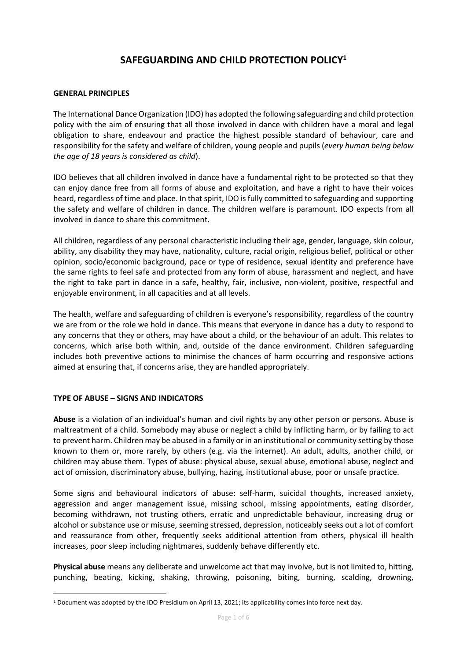# **SAFEGUARDING AND CHILD PROTECTION POLICY<sup>1</sup>**

#### **GENERAL PRINCIPLES**

The International Dance Organization (IDO) has adopted the following safeguarding and child protection policy with the aim of ensuring that all those involved in dance with children have a moral and legal obligation to share, endeavour and practice the highest possible standard of behaviour, care and responsibility for the safety and welfare of children, young people and pupils (*every human being below the age of 18 years is considered as child*).

IDO believes that all children involved in dance have a fundamental right to be protected so that they can enjoy dance free from all forms of abuse and exploitation, and have a right to have their voices heard, regardless of time and place. In that spirit, IDO is fully committed to safeguarding and supporting the safety and welfare of children in dance. The children welfare is paramount. IDO expects from all involved in dance to share this commitment.

All children, regardless of any personal characteristic including their age, gender, language, skin colour, ability, any disability they may have, nationality, culture, racial origin, religious belief, political or other opinion, socio/economic background, pace or type of residence, sexual identity and preference have the same rights to feel safe and protected from any form of abuse, harassment and neglect, and have the right to take part in dance in a safe, healthy, fair, inclusive, non-violent, positive, respectful and enjoyable environment, in all capacities and at all levels.

The health, welfare and safeguarding of children is everyone's responsibility, regardless of the country we are from or the role we hold in dance. This means that everyone in dance has a duty to respond to any concerns that they or others, may have about a child, or the behaviour of an adult. This relates to concerns, which arise both within, and, outside of the dance environment. Children safeguarding includes both preventive actions to minimise the chances of harm occurring and responsive actions aimed at ensuring that, if concerns arise, they are handled appropriately.

#### **TYPE OF ABUSE – SIGNS AND INDICATORS**

**Abuse** is a violation of an individual's human and civil rights by any other person or persons. Abuse is maltreatment of a child. Somebody may abuse or neglect a child by inflicting harm, or by failing to act to prevent harm. Children may be abused in a family or in an institutional or community setting by those known to them or, more rarely, by others (e.g. via the internet). An adult, adults, another child, or children may abuse them. Types of abuse: physical abuse, sexual abuse, emotional abuse, neglect and act of omission, discriminatory abuse, bullying, hazing, institutional abuse, poor or unsafe practice.

Some signs and behavioural indicators of abuse: self-harm, suicidal thoughts, increased anxiety, aggression and anger management issue, missing school, missing appointments, eating disorder, becoming withdrawn, not trusting others, erratic and unpredictable behaviour, increasing drug or alcohol or substance use or misuse, seeming stressed, depression, noticeably seeks out a lot of comfort and reassurance from other, frequently seeks additional attention from others, physical ill health increases, poor sleep including nightmares, suddenly behave differently etc.

**Physical abuse** means any deliberate and unwelcome act that may involve, but is not limited to, hitting, punching, beating, kicking, shaking, throwing, poisoning, biting, burning, scalding, drowning,

<sup>1</sup> Document was adopted by the IDO Presidium on April 13, 2021; its applicability comes into force next day.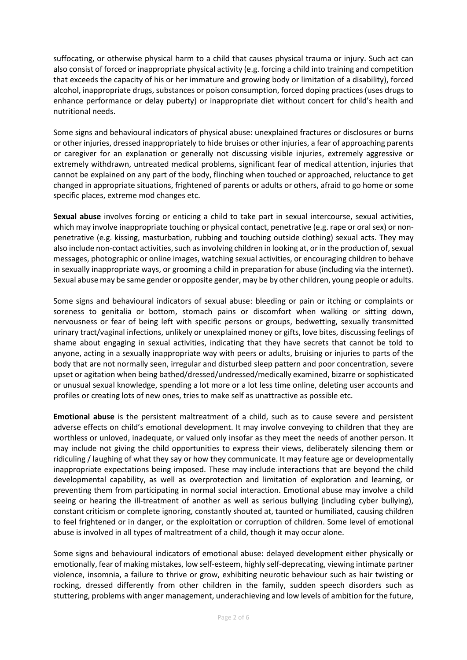suffocating, or otherwise physical harm to a child that causes physical trauma or injury. Such act can also consist of forced or inappropriate physical activity (e.g. forcing a child into training and competition that exceeds the capacity of his or her immature and growing body or limitation of a disability), forced alcohol, inappropriate drugs, substances or poison consumption, forced doping practices (uses drugs to enhance performance or delay puberty) or inappropriate diet without concert for child's health and nutritional needs.

Some signs and behavioural indicators of physical abuse: unexplained fractures or disclosures or burns or other injuries, dressed inappropriately to hide bruises or other injuries, a fear of approaching parents or caregiver for an explanation or generally not discussing visible injuries, extremely aggressive or extremely withdrawn, untreated medical problems, significant fear of medical attention, injuries that cannot be explained on any part of the body, flinching when touched or approached, reluctance to get changed in appropriate situations, frightened of parents or adults or others, afraid to go home or some specific places, extreme mod changes etc.

**Sexual abuse** involves forcing or enticing a child to take part in sexual intercourse, sexual activities, which may involve inappropriate touching or physical contact, penetrative (e.g. rape or oral sex) or nonpenetrative (e.g. kissing, masturbation, rubbing and touching outside clothing) sexual acts. They may also include non-contact activities, such as involving children in looking at, or in the production of, sexual messages, photographic or online images, watching sexual activities, or encouraging children to behave in sexually inappropriate ways, or grooming a child in preparation for abuse (including via the internet). Sexual abuse may be same gender or opposite gender, may be by other children, young people or adults.

Some signs and behavioural indicators of sexual abuse: bleeding or pain or itching or complaints or soreness to genitalia or bottom, stomach pains or discomfort when walking or sitting down, nervousness or fear of being left with specific persons or groups, bedwetting, sexually transmitted urinary tract/vaginal infections, unlikely or unexplained money or gifts, love bites, discussing feelings of shame about engaging in sexual activities, indicating that they have secrets that cannot be told to anyone, acting in a sexually inappropriate way with peers or adults, bruising or injuries to parts of the body that are not normally seen, irregular and disturbed sleep pattern and poor concentration, severe upset or agitation when being bathed/dressed/undressed/medically examined, bizarre or sophisticated or unusual sexual knowledge, spending a lot more or a lot less time online, deleting user accounts and profiles or creating lots of new ones, tries to make self as unattractive as possible etc.

**Emotional abuse** is the persistent maltreatment of a child, such as to cause severe and persistent adverse effects on child's emotional development. It may involve conveying to children that they are worthless or unloved, inadequate, or valued only insofar as they meet the needs of another person. It may include not giving the child opportunities to express their views, deliberately silencing them or ridiculing / laughing of what they say or how they communicate. It may feature age or developmentally inappropriate expectations being imposed. These may include interactions that are beyond the child developmental capability, as well as overprotection and limitation of exploration and learning, or preventing them from participating in normal social interaction. Emotional abuse may involve a child seeing or hearing the ill-treatment of another as well as serious bullying (including cyber bullying), constant criticism or complete ignoring, constantly shouted at, taunted or humiliated, causing children to feel frightened or in danger, or the exploitation or corruption of children. Some level of emotional abuse is involved in all types of maltreatment of a child, though it may occur alone.

Some signs and behavioural indicators of emotional abuse: delayed development either physically or emotionally, fear of making mistakes, low self-esteem, highly self-deprecating, viewing intimate partner violence, insomnia, a failure to thrive or grow, exhibiting neurotic behaviour such as hair twisting or rocking, dressed differently from other children in the family, sudden speech disorders such as stuttering, problems with anger management, underachieving and low levels of ambition for the future,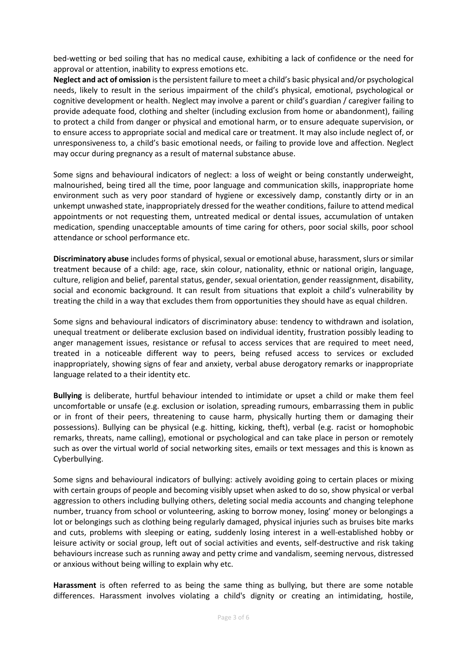bed-wetting or bed soiling that has no medical cause, exhibiting a lack of confidence or the need for approval or attention, inability to express emotions etc.

**Neglect and act of omission** is the persistent failure to meet a child's basic physical and/or psychological needs, likely to result in the serious impairment of the child's physical, emotional, psychological or cognitive development or health. Neglect may involve a parent or child's guardian / caregiver failing to provide adequate food, clothing and shelter (including exclusion from home or abandonment), failing to protect a child from danger or physical and emotional harm, or to ensure adequate supervision, or to ensure access to appropriate social and medical care or treatment. It may also include neglect of, or unresponsiveness to, a child's basic emotional needs, or failing to provide love and affection. Neglect may occur during pregnancy as a result of maternal substance abuse.

Some signs and behavioural indicators of neglect: a loss of weight or being constantly underweight, malnourished, being tired all the time, poor language and communication skills, inappropriate home environment such as very poor standard of hygiene or excessively damp, constantly dirty or in an unkempt unwashed state, inappropriately dressed for the weather conditions, failure to attend medical appointments or not requesting them, untreated medical or dental issues, accumulation of untaken medication, spending unacceptable amounts of time caring for others, poor social skills, poor school attendance or school performance etc.

**Discriminatory abuse** includes forms of physical, sexual or emotional abuse, harassment, slurs or similar treatment because of a child: age, race, skin colour, nationality, ethnic or national origin, language, culture, religion and belief, parental status, gender, sexual orientation, gender reassignment, disability, social and economic background. It can result from situations that exploit a child's vulnerability by treating the child in a way that excludes them from opportunities they should have as equal children.

Some signs and behavioural indicators of discriminatory abuse: tendency to withdrawn and isolation, unequal treatment or deliberate exclusion based on individual identity, frustration possibly leading to anger management issues, resistance or refusal to access services that are required to meet need, treated in a noticeable different way to peers, being refused access to services or excluded inappropriately, showing signs of fear and anxiety, verbal abuse derogatory remarks or inappropriate language related to a their identity etc.

**Bullying** is deliberate, hurtful behaviour intended to intimidate or upset a child or make them feel uncomfortable or unsafe (e.g. exclusion or isolation, spreading rumours, embarrassing them in public or in front of their peers, threatening to cause harm, physically hurting them or damaging their possessions). Bullying can be physical (e.g. hitting, kicking, theft), verbal (e.g. racist or homophobic remarks, threats, name calling), emotional or psychological and can take place in person or remotely such as over the virtual world of social networking sites, emails or text messages and this is known as Cyberbullying.

Some signs and behavioural indicators of bullying: actively avoiding going to certain places or mixing with certain groups of people and becoming visibly upset when asked to do so, show physical or verbal aggression to others including bullying others, deleting social media accounts and changing telephone number, truancy from school or volunteering, asking to borrow money, losing' money or belongings a lot or belongings such as clothing being regularly damaged, physical injuries such as bruises bite marks and cuts, problems with sleeping or eating, suddenly losing interest in a well-established hobby or leisure activity or social group, left out of social activities and events, self-destructive and risk taking behaviours increase such as running away and petty crime and vandalism, seeming nervous, distressed or anxious without being willing to explain why etc.

**Harassment** is often referred to as being the same thing as bullying, but there are some notable differences. Harassment involves violating a child's dignity or creating an intimidating, hostile,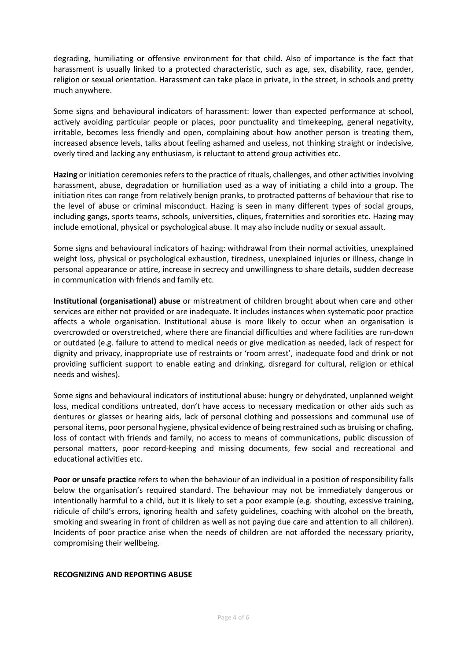degrading, humiliating or offensive environment for that child. Also of importance is the fact that harassment is usually linked to a protected characteristic, such as age, sex, disability, race, gender, religion or sexual orientation. Harassment can take place in private, in the street, in schools and pretty much anywhere.

Some signs and behavioural indicators of harassment: lower than expected performance at school, actively avoiding particular people or places, poor punctuality and timekeeping, general negativity, irritable, becomes less friendly and open, complaining about how another person is treating them, increased absence levels, talks about feeling ashamed and useless, not thinking straight or indecisive, overly tired and lacking any enthusiasm, is reluctant to attend group activities etc.

**Hazing** or initiation ceremonies refers to the practice of rituals, challenges, and other activities involving harassment, abuse, degradation or humiliation used as a way of initiating a child into a group. The initiation rites can range from relatively benign pranks, to protracted patterns of behaviour that rise to the level of abuse or criminal misconduct. Hazing is seen in many different types of social groups, including gangs, sports teams, schools, universities, cliques, fraternities and sororities etc. Hazing may include emotional, physical or psychological abuse. It may also include nudity or sexual assault.

Some signs and behavioural indicators of hazing: withdrawal from their normal activities, unexplained weight loss, physical or psychological exhaustion, tiredness, unexplained injuries or illness, change in personal appearance or attire, increase in secrecy and unwillingness to share details, sudden decrease in communication with friends and family etc.

**Institutional (organisational) abuse** or mistreatment of children brought about when care and other services are either not provided or are inadequate. It includes instances when systematic poor practice affects a whole organisation. Institutional abuse is more likely to occur when an organisation is overcrowded or overstretched, where there are financial difficulties and where facilities are run-down or outdated (e.g. failure to attend to medical needs or give medication as needed, lack of respect for dignity and privacy, inappropriate use of restraints or 'room arrest', inadequate food and drink or not providing sufficient support to enable eating and drinking, disregard for cultural, religion or ethical needs and wishes).

Some signs and behavioural indicators of institutional abuse: hungry or dehydrated, unplanned weight loss, medical conditions untreated, don't have access to necessary medication or other aids such as dentures or glasses or hearing aids, lack of personal clothing and possessions and communal use of personal items, poor personal hygiene, physical evidence of being restrained such as bruising or chafing, loss of contact with friends and family, no access to means of communications, public discussion of personal matters, poor record-keeping and missing documents, few social and recreational and educational activities etc.

**Poor or unsafe practice** refers to when the behaviour of an individual in a position of responsibility falls below the organisation's required standard. The behaviour may not be immediately dangerous or intentionally harmful to a child, but it is likely to set a poor example (e.g. shouting, excessive training, ridicule of child's errors, ignoring health and safety guidelines, coaching with alcohol on the breath, smoking and swearing in front of children as well as not paying due care and attention to all children). Incidents of poor practice arise when the needs of children are not afforded the necessary priority, compromising their wellbeing.

#### **RECOGNIZING AND REPORTING ABUSE**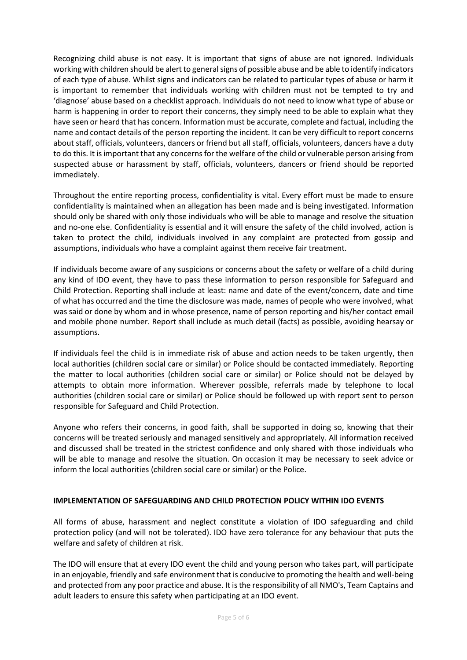Recognizing child abuse is not easy. It is important that signs of abuse are not ignored. Individuals working with children should be alert to general signs of possible abuse and be able to identify indicators of each type of abuse. Whilst signs and indicators can be related to particular types of abuse or harm it is important to remember that individuals working with children must not be tempted to try and 'diagnose' abuse based on a checklist approach. Individuals do not need to know what type of abuse or harm is happening in order to report their concerns, they simply need to be able to explain what they have seen or heard that has concern. Information must be accurate, complete and factual, including the name and contact details of the person reporting the incident. It can be very difficult to report concerns about staff, officials, volunteers, dancers or friend but all staff, officials, volunteers, dancers have a duty to do this. It is important that any concerns for the welfare of the child or vulnerable person arising from suspected abuse or harassment by staff, officials, volunteers, dancers or friend should be reported immediately.

Throughout the entire reporting process, confidentiality is vital. Every effort must be made to ensure confidentiality is maintained when an allegation has been made and is being investigated. Information should only be shared with only those individuals who will be able to manage and resolve the situation and no-one else. Confidentiality is essential and it will ensure the safety of the child involved, action is taken to protect the child, individuals involved in any complaint are protected from gossip and assumptions, individuals who have a complaint against them receive fair treatment.

If individuals become aware of any suspicions or concerns about the safety or welfare of a child during any kind of IDO event, they have to pass these information to person responsible for Safeguard and Child Protection. Reporting shall include at least: name and date of the event/concern, date and time of what has occurred and the time the disclosure was made, names of people who were involved, what was said or done by whom and in whose presence, name of person reporting and his/her contact email and mobile phone number. Report shall include as much detail (facts) as possible, avoiding hearsay or assumptions.

If individuals feel the child is in immediate risk of abuse and action needs to be taken urgently, then local authorities (children social care or similar) or Police should be contacted immediately. Reporting the matter to local authorities (children social care or similar) or Police should not be delayed by attempts to obtain more information. Wherever possible, referrals made by telephone to local authorities (children social care or similar) or Police should be followed up with report sent to person responsible for Safeguard and Child Protection.

Anyone who refers their concerns, in good faith, shall be supported in doing so, knowing that their concerns will be treated seriously and managed sensitively and appropriately. All information received and discussed shall be treated in the strictest confidence and only shared with those individuals who will be able to manage and resolve the situation. On occasion it may be necessary to seek advice or inform the local authorities (children social care or similar) or the Police.

### **IMPLEMENTATION OF SAFEGUARDING AND CHILD PROTECTION POLICY WITHIN IDO EVENTS**

All forms of abuse, harassment and neglect constitute a violation of IDO safeguarding and child protection policy (and will not be tolerated). IDO have zero tolerance for any behaviour that puts the welfare and safety of children at risk.

The IDO will ensure that at every IDO event the child and young person who takes part, will participate in an enjoyable, friendly and safe environment that is conducive to promoting the health and well-being and protected from any poor practice and abuse. It is the responsibility of all NMO's, Team Captains and adult leaders to ensure this safety when participating at an IDO event.